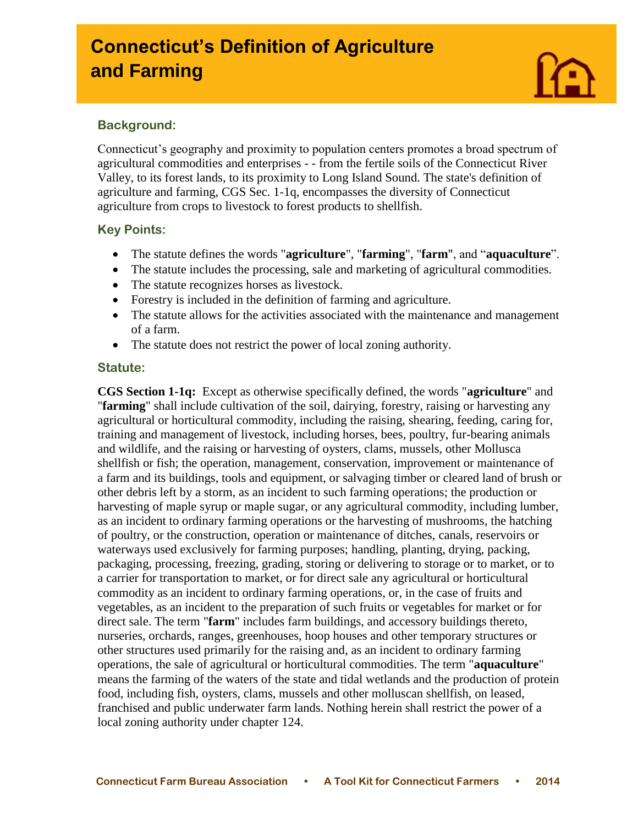# **Connecticut's Definition of Agriculture and Farming**



# **Background:**

I

Connecticut's geography and proximity to population centers promotes a broad spectrum of agricultural commodities and enterprises - - from the fertile soils of the Connecticut River Valley, to its forest lands, to its proximity to Long Island Sound. The state's definition of agriculture and farming, CGS Sec. 1-1q, encompasses the diversity of Connecticut agriculture from crops to livestock to forest products to shellfish.

# **Key Points:**

- The statute defines the words "**agriculture**", "**farming**", "**farm**", and "**aquaculture**".
- The statute includes the processing, sale and marketing of agricultural commodities.
- The statute recognizes horses as livestock.
- Forestry is included in the definition of farming and agriculture.
- The statute allows for the activities associated with the maintenance and management of a farm.
- The statute does not restrict the power of local zoning authority.

# **Statute:**

**CGS Section 1-1q:** Except as otherwise specifically defined, the words "**agriculture**" and "**farming**" shall include cultivation of the soil, dairying, forestry, raising or harvesting any agricultural or horticultural commodity, including the raising, shearing, feeding, caring for, training and management of livestock, including horses, bees, poultry, fur-bearing animals and wildlife, and the raising or harvesting of oysters, clams, mussels, other Mollusca shellfish or fish; the operation, management, conservation, improvement or maintenance of a farm and its buildings, tools and equipment, or salvaging timber or cleared land of brush or other debris left by a storm, as an incident to such farming operations; the production or harvesting of maple syrup or maple sugar, or any agricultural commodity, including lumber, as an incident to ordinary farming operations or the harvesting of mushrooms, the hatching of poultry, or the construction, operation or maintenance of ditches, canals, reservoirs or waterways used exclusively for farming purposes; handling, planting, drying, packing, packaging, processing, freezing, grading, storing or delivering to storage or to market, or to a carrier for transportation to market, or for direct sale any agricultural or horticultural commodity as an incident to ordinary farming operations, or, in the case of fruits and vegetables, as an incident to the preparation of such fruits or vegetables for market or for direct sale. The term "**farm**" includes farm buildings, and accessory buildings thereto, nurseries, orchards, ranges, greenhouses, hoop houses and other temporary structures or other structures used primarily for the raising and, as an incident to ordinary farming operations, the sale of agricultural or horticultural commodities. The term "**aquaculture**" means the farming of the waters of the state and tidal wetlands and the production of protein food, including fish, oysters, clams, mussels and other molluscan shellfish, on leased, franchised and public underwater farm lands. Nothing herein shall restrict the power of a local zoning authority under chapter 124.